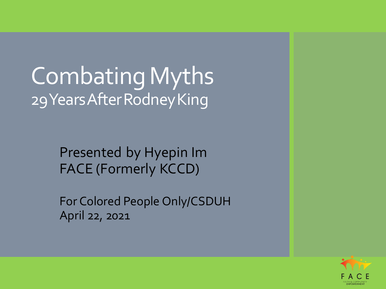# Combating Myths 29 Years After Rodney King

Presented by Hyepin Im FACE (Formerly KCCD)

For Colored People Only/CSDUH April 22, 2021

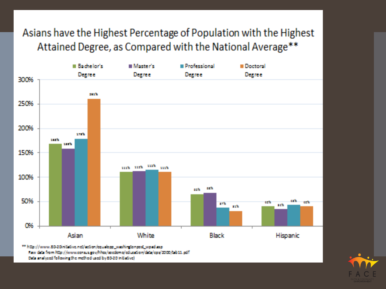#### Asians have the Highest Percentage of Population with the Highest Attained Degree, as Compared with the National Average\*\*



New data from http://www.consus.gov/hhcs/socdomo/cducation/data/cps/2000/tab11.pdf Data analysed following the method used by 80-20 initiative).

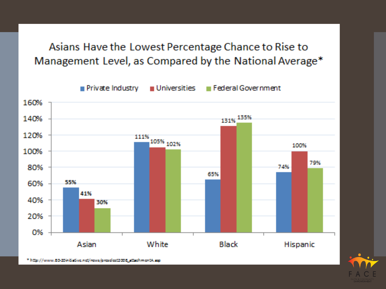Asians Have the Lowest Percentage Chance to Rise to Management Level, as Compared by the National Average\*





\* http://www.80-20initiative.net/nows/preselect2008\_attachmentA.asp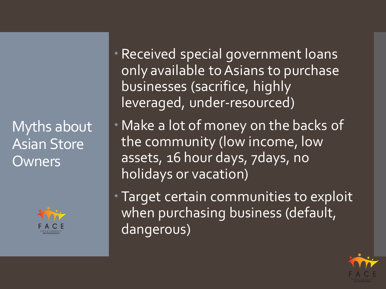Myths about Asian Store **Owners** 



 Received special government loans only available to Asians to purchase businesses (sacrifice, highly leveraged, under-resourced)

 Make a lot of money on the backs of the community (low income, low assets, 16 hour days, 7days, no holidays or vacation)

 Target certain communities to exploit when purchasing business (default, dangerous)

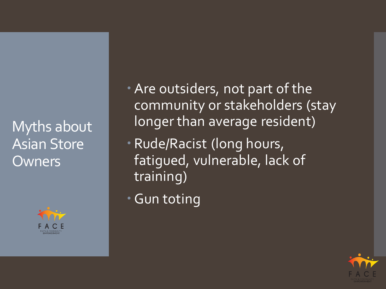Myths about Asian Store **Owners** 



Are outsiders, not part of the community or stakeholders (stay longer than average resident)

 Rude/Racist (long hours, fatigued, vulnerable, lack of training)

Gun toting

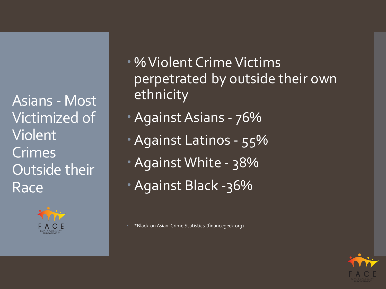Asians - Most Victimized of Violent Crimes Outside their Race



- % Violent Crime Victims perpetrated by outside their own ethnicity
- Against Asians 76%
- Against Latinos 55%
- Against White 38%
- Against Black -36%

\*Black on Asian Crime Statistics (financegeek.org)

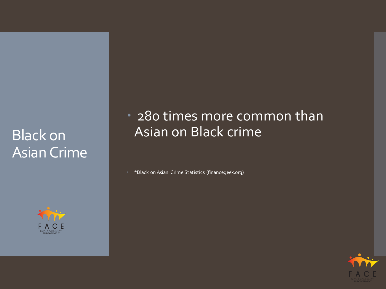## **Black on** Asian Crime



### • 280 times more common than Asian on Black crime

\*Black on Asian Crime Statistics (financegeek.org)

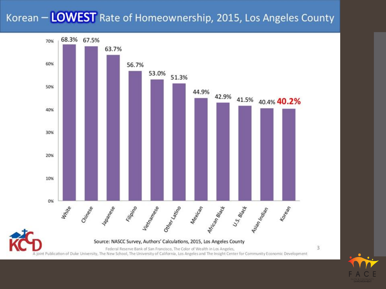### Korean - LOWEST Rate of Homeownership, 2015, Los Angeles County

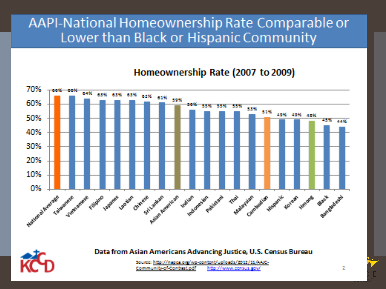### AAPI-National Homeownership Rate Comparable or Lower than Black or Hispanic Community

#### Homeownership Rate (2007 to 2009)





Data from Asian Americans Advancing Justice, U.S. Census Bureau

http://napca.org/wp-content/uploads/2012/11/AAIC-Community of Contracted I http://www.consus.gov/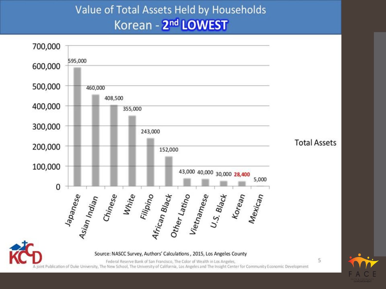### Value of Total Assets Held by Households Korean - 2<sup>nd</sup> LOWEST

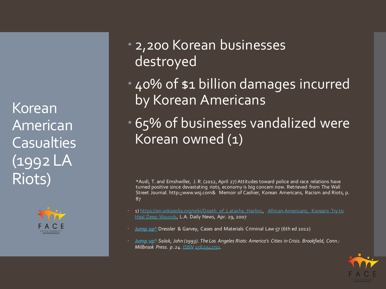Korean American Casualties (1992 LA Riots)



### 2,200 Korean businesses destroyed

- 40% of \$1 billion damages incurred by Korean Americans
- 65% of businesses vandalized were Korean owned (1)

\*Audi, T. and Emshwiller, J. R. (2012, April 27) Attitudes toward police and race relations have turned positive since devastating riots, economy is big concern now. Retrieved from The Wall Street Journal. http:;;www.wsj.com& Memoir of Cashier, Korean Americans, Racism and Riots, p. 87

- [1\)](http://www.dailynews.com/general-news/20070429/african-americans-koreans-try-to-heal-deep-wounds) [https://en.wikipedia.org/wiki/Death\\_of\\_Latasha\\_Harlins](https://en.wikipedia.org/wiki/Death_of_Latasha_Harlins), African-Americans, Koreans Try to Heal Deep Wounds, L.A. Daily News, Apr. 29, 2007
- Jump up<sup>^</sup> Dressler & Garvey, Cases and Materials Criminal Law 57 (6th ed 2012)
- **[Jump up^](https://en.wikipedia.org/wiki/Death_of_Latasha_Harlins)** *Salak, John (1993). The Los Angeles Riots: America's Cities in Crisis. Brookfield, Conn.: Millbrook Press. p. 24. [ISBN](https://en.wikipedia.org/wiki/International_Standard_Book_Number) [1562943731.](https://en.wikipedia.org/wiki/Special:BookSources/1562943731)*

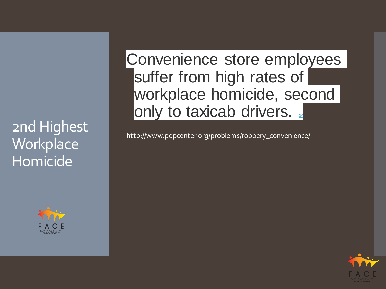2nd Highest Workplace Homicide



Convenience store employees suffer from high rates of workplace homicide, second only to taxicab drivers. [14](http://www.popcenter.org/problems/robbery_convenience/endnotes/)

http://www.popcenter.org/problems/robbery\_convenience/

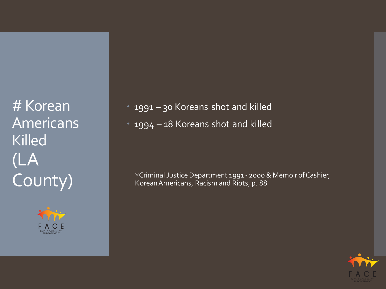**# Korean Americans** Killed (LA County)



 1991 – 30 Koreans shot and killed 1994 – 18 Koreans shot and killed

\*Criminal Justice Department 1991 - 2000 & Memoir of Cashier, Korean Americans, Racism and Riots, p. 88

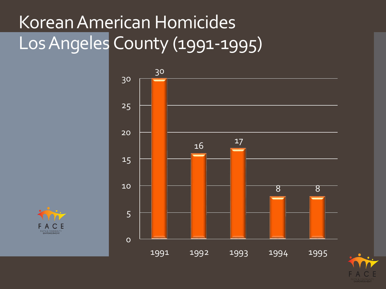# Korean American Homicides Los Angeles County (1991-1995)





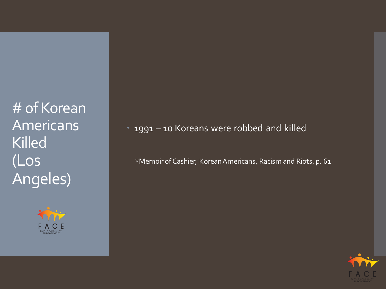# of Korean Americans Killed (Los Angeles)



1991 – 10 Koreans were robbed and killed

\*Memoir of Cashier, Korean Americans, Racism and Riots, p. 61

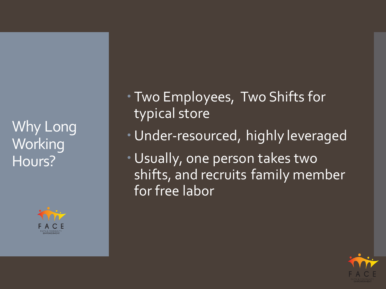Why Long **Working** Hours?



 Two Employees, Two Shifts for typical store

- Under-resourced, highly leveraged
- Usually, one person takes two shifts, and recruits family member for free labor

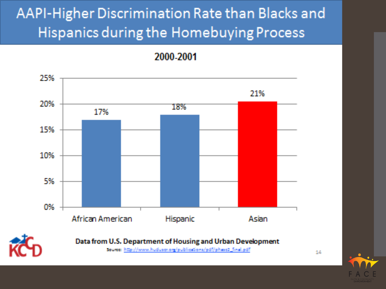# AAPI-Higher Discrimination Rate than Blacks and Hispanics during the Homebuying Process

#### 2000-2001





Data from U.S. Department of Housing and Urban Development

Source: http://www.huduser.org/publications/pdf/phase2\_final.pdf



14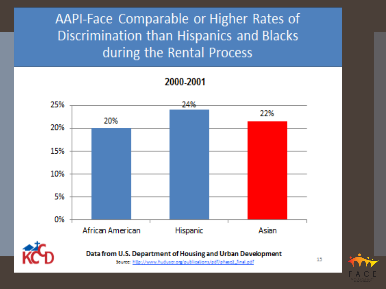AAPI-Face Comparable or Higher Rates of Discrimination than Hispanics and Blacks during the Rental Process

2000-2001





Source: http://www.huduser.org/publications/pdf/phase2\_final.pdf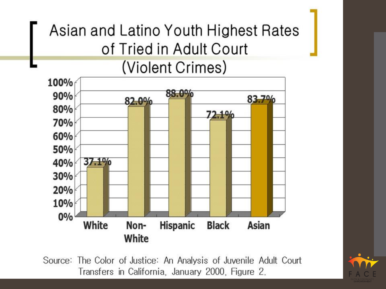# Asian and Latino Youth Highest Rates of Tried in Adult Court (Violent Crimes)



Source: The Color of Justice: An Analysis of Juvenile Adult Court Transfers in California, January 2000, Figure 2.

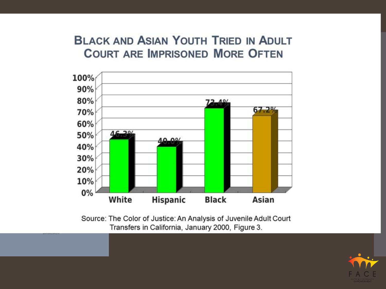#### **BLACK AND ASIAN YOUTH TRIED IN ADULT COURT ARE IMPRISONED MORE OFTEN**



Source: The Color of Justice: An Analysis of Juvenile Adult Court Transfers in California, January 2000, Figure 3.

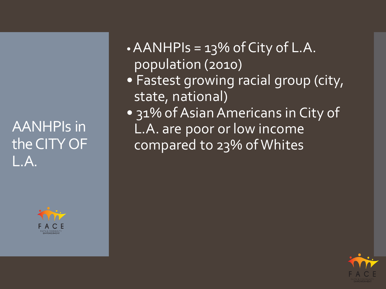## AANHPIs in the CITY OF L.A.



• AANHPIs  $= 13\%$  of City of L.A. population (2010)

- Fastest growing racial group (city, state, national)
- 31% of Asian Americans in City of L.A. are poor or low income compared to 23% of Whites

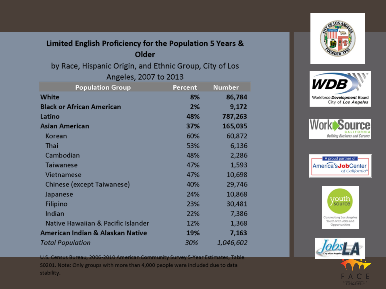#### Limited English Proficiency for the Population 5 Years & Older

by Race, Hispanic Origin, and Ethnic Group, City of Los Angeles, 2007 to 2013

| <b>Population Group</b>            | Percent | <b>Number</b> |
|------------------------------------|---------|---------------|
| <b>White</b>                       | 8%      | 86,784        |
| <b>Black or African American</b>   | 2%      | 9,172         |
| Latino                             | 48%     | 787,263       |
| <b>Asian American</b>              | 37%     | 165,035       |
| Korean                             | 60%     | 60,872        |
| <b>Thai</b>                        | 53%     | 6,136         |
| Cambodian                          | 48%     | 2,286         |
| <b>Taiwanese</b>                   | 47%     | 1,593         |
| Vietnamese                         | 47%     | 10,698        |
| <b>Chinese (except Taiwanese)</b>  | 40%     | 29,746        |
| Japanese                           | 24%     | 10,868        |
| <b>Filipino</b>                    | 23%     | 30,481        |
| Indian                             | 22%     | 7,386         |
| Native Hawaiian & Pacific Islander | 12%     | 1,368         |
| American Indian & Alaskan Native   | 19%     | 7,163         |
| <b>Total Population</b>            | 30%     | 1,046,602     |

U.S. Census Bureau, 2006-2010 American Community Survey 5-Year Estimates, Table S0201. Note: Only groups with more than 4,000 people were included due to data stability.











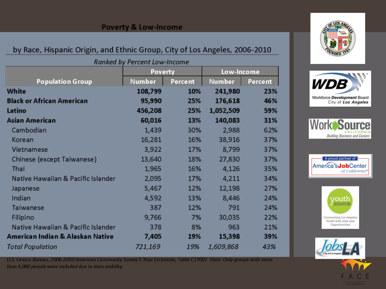#### **Poverty & Low-Income**

#### by Race, Hispanic Origin, and Ethnic Group, City of Los Angeles, 2006-2010

|                         | Ranked by Percent Low-Income |                |  |  |
|-------------------------|------------------------------|----------------|--|--|
|                         |                              | <b>Poverty</b> |  |  |
| <b>Population Group</b> | <b>Number</b>                | Percent        |  |  |
|                         | 108,799                      | 10%            |  |  |
|                         |                              |                |  |  |

| White                              | 108,799 | 10% | 241,980   | 239 |
|------------------------------------|---------|-----|-----------|-----|
| <b>Black or African American</b>   | 95,990  | 25% | 176,618   | 469 |
| Latino                             | 456,208 | 25% | 1,052,509 | 599 |
| Asian American                     | 60,016  | 13% | 140,083   | 319 |
| Cambodian                          | 1,439   | 30% | 2,988     | 629 |
| Korean                             | 16,281  | 16% | 38,916    | 379 |
| Vietnamese                         | 3,922   | 17% | 8,799     | 379 |
| Chinese (except Taiwanese)         | 13,640  | 18% | 27,830    | 379 |
| Thai                               | 1,965   | 16% | 4,126     | 359 |
| Native Hawaiian & Pacific Islander | 2,095   | 17% | 4,211     | 349 |
| Japanese                           | 5,467   | 12% | 12,198    | 279 |
| Indian                             | 4,592   | 13% | 8,446     | 249 |
| Taiwanese                          | 387     | 12% | 791       | 249 |
| Filipino                           | 9,766   | 7%  | 30,035    | 229 |
| Native Hawaiian & Pacific Islander | 378     | 8%  | 963       | 219 |
| American Indian & Alaskan Native   | 7,405   | 19% | 15,398    | 399 |
| <b>Total Population</b>            | 721,169 | 19% | 1,609,868 | 43% |



Low-Income

mber -

Percent











U.S. Census Bureau, 2006-2010 American Community Survey 5-Year Estimates, Table C17002. Note: Only groups with more than 4,000 people were included due to data stability.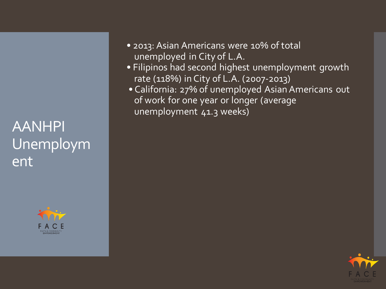## AANHPI Unemploym ent



- 2013: Asian Americans were 10% of total unemployed in City of L.A.
- Filipinos had second highest unemployment growth rate (118%) in City of L.A. (2007-2013)
- California: 27% of unemployed Asian Americans out of work for one year or longer (average unemployment 41.3 weeks)

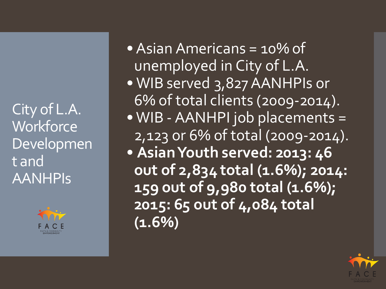City of L.A. **Workforce** Developmen t and AANHPIs



• Asian Americans = 10% of unemployed in City of L.A. • WIB served 3,827 AANHPIs or 6% of total clients (2009-2014). • WIB - AANHPI job placements = 2,123 or 6% of total (2009-2014). • **Asian Youth served: 2013: 46 out of 2,834 total (1.6%); 2014: 159 out of 9,980 total (1.6%); 2015: 65 out of 4,084 total (1.6%)**

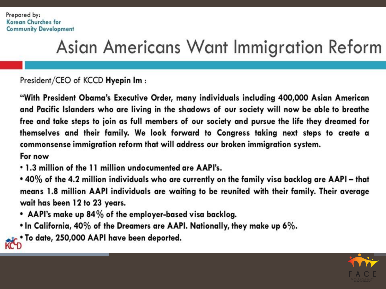# Asian Americans Want Immigration Reform

President/CEO of KCCD Hyepin Im:

"With President Obama's Executive Order, many individuals including 400,000 Asian American and Pacific Islanders who are living in the shadows of our society will now be able to breathe free and take steps to join as full members of our society and pursue the life they dreamed for themselves and their family. We look forward to Congress taking next steps to create a commonsense immigration reform that will address our broken immigration system.

For now

- 1.3 million of the 11 million undocumented are AAPI's.
- 40% of the 4.2 million individuals who are currently on the family visa backlog are AAPI that means 1.8 million AAPI individuals are waiting to be reunited with their family. Their average wait has been 12 to 23 years.
- AAPI's make up 84% of the employer-based visa backlog.
- In California, 40% of the Dreamers are AAPI. Nationally, they make up 6%.
- To date, 250,000 AAPI have been deported. KCD